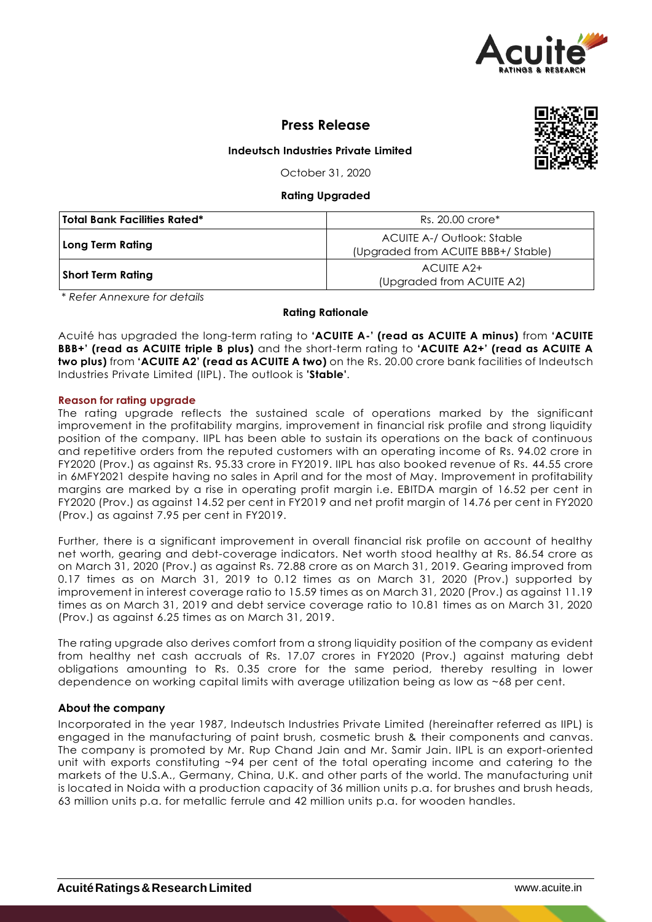

**Press Release**

# **Indeutsch Industries Private Limited**

October 31, 2020

# **Rating Upgraded**

| Total Bank Facilities Rated* | Rs. 20.00 crore*                                                 |  |  |
|------------------------------|------------------------------------------------------------------|--|--|
| Long Term Rating             | ACUITE A-/ Outlook: Stable<br>(Upgraded from ACUITE BBB+/Stable) |  |  |
| Short Term Rating            | ACUITE A2+<br>(Upgraded from ACUITE A2)                          |  |  |

*\* Refer Annexure for details*

## **Rating Rationale**

Acuité has upgraded the long-term rating to **'ACUITE A-' (read as ACUITE A minus)** from **'ACUITE BBB+' (read as ACUITE triple B plus)** and the short-term rating to **'ACUITE A2+' (read as ACUITE A two plus)** from **'ACUITE A2' (read as ACUITE A two)** on the Rs. 20.00 crore bank facilities of Indeutsch Industries Private Limited (IIPL). The outlook is **'Stable'**.

# **Reason for rating upgrade**

The rating upgrade reflects the sustained scale of operations marked by the significant improvement in the profitability margins, improvement in financial risk profile and strong liquidity position of the company. IIPL has been able to sustain its operations on the back of continuous and repetitive orders from the reputed customers with an operating income of Rs. 94.02 crore in FY2020 (Prov.) as against Rs. 95.33 crore in FY2019. IIPL has also booked revenue of Rs. 44.55 crore in 6MFY2021 despite having no sales in April and for the most of May. Improvement in profitability margins are marked by a rise in operating profit margin i.e. EBITDA margin of 16.52 per cent in FY2020 (Prov.) as against 14.52 per cent in FY2019 and net profit margin of 14.76 per cent in FY2020 (Prov.) as against 7.95 per cent in FY2019.

Further, there is a significant improvement in overall financial risk profile on account of healthy net worth, gearing and debt-coverage indicators. Net worth stood healthy at Rs. 86.54 crore as on March 31, 2020 (Prov.) as against Rs. 72.88 crore as on March 31, 2019. Gearing improved from 0.17 times as on March 31, 2019 to 0.12 times as on March 31, 2020 (Prov.) supported by improvement in interest coverage ratio to 15.59 times as on March 31, 2020 (Prov.) as against 11.19 times as on March 31, 2019 and debt service coverage ratio to 10.81 times as on March 31, 2020 (Prov.) as against 6.25 times as on March 31, 2019.

The rating upgrade also derives comfort from a strong liquidity position of the company as evident from healthy net cash accruals of Rs. 17.07 crores in FY2020 (Prov.) against maturing debt obligations amounting to Rs. 0.35 crore for the same period, thereby resulting in lower dependence on working capital limits with average utilization being as low as ~68 per cent.

# **About the company**

Incorporated in the year 1987, Indeutsch Industries Private Limited (hereinafter referred as IIPL) is engaged in the manufacturing of paint brush, cosmetic brush & their components and canvas. The company is promoted by Mr. Rup Chand Jain and Mr. Samir Jain. IIPL is an export-oriented unit with exports constituting ~94 per cent of the total operating income and catering to the markets of the U.S.A., Germany, China, U.K. and other parts of the world. The manufacturing unit is located in Noida with a production capacity of 36 million units p.a. for brushes and brush heads, 63 million units p.a. for metallic ferrule and 42 million units p.a. for wooden handles.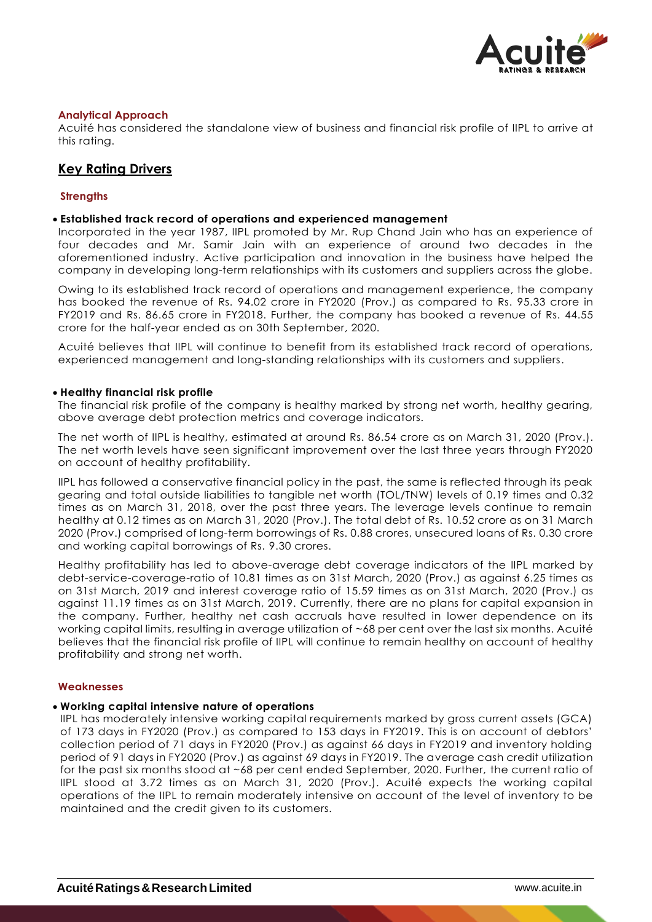

# **Analytical Approach**

Acuité has considered the standalone view of business and financial risk profile of IIPL to arrive at this rating.

# **Key Rating Drivers**

# **Strengths**

# **Established track record of operations and experienced management**

Incorporated in the year 1987, IIPL promoted by Mr. Rup Chand Jain who has an experience of four decades and Mr. Samir Jain with an experience of around two decades in the aforementioned industry. Active participation and innovation in the business have helped the company in developing long-term relationships with its customers and suppliers across the globe.

Owing to its established track record of operations and management experience, the company has booked the revenue of Rs. 94.02 crore in FY2020 (Prov.) as compared to Rs. 95.33 crore in FY2019 and Rs. 86.65 crore in FY2018. Further, the company has booked a revenue of Rs. 44.55 crore for the half-year ended as on 30th September, 2020.

Acuité believes that IIPL will continue to benefit from its established track record of operations, experienced management and long-standing relationships with its customers and suppliers.

## **Healthy financial risk profile**

The financial risk profile of the company is healthy marked by strong net worth, healthy gearing, above average debt protection metrics and coverage indicators.

The net worth of IIPL is healthy, estimated at around Rs. 86.54 crore as on March 31, 2020 (Prov.). The net worth levels have seen significant improvement over the last three years through FY2020 on account of healthy profitability.

IIPL has followed a conservative financial policy in the past, the same is reflected through its peak gearing and total outside liabilities to tangible net worth (TOL/TNW) levels of 0.19 times and 0.32 times as on March 31, 2018, over the past three years. The leverage levels continue to remain healthy at 0.12 times as on March 31, 2020 (Prov.). The total debt of Rs. 10.52 crore as on 31 March 2020 (Prov.) comprised of long-term borrowings of Rs. 0.88 crores, unsecured loans of Rs. 0.30 crore and working capital borrowings of Rs. 9.30 crores.

Healthy profitability has led to above-average debt coverage indicators of the IIPL marked by debt-service-coverage-ratio of 10.81 times as on 31st March, 2020 (Prov.) as against 6.25 times as on 31st March, 2019 and interest coverage ratio of 15.59 times as on 31st March, 2020 (Prov.) as against 11.19 times as on 31st March, 2019. Currently, there are no plans for capital expansion in the company. Further, healthy net cash accruals have resulted in lower dependence on its working capital limits, resulting in average utilization of ~68 per cent over the last six months. Acuité believes that the financial risk profile of IIPL will continue to remain healthy on account of healthy profitability and strong net worth.

#### **Weaknesses**

## **Working capital intensive nature of operations**

IIPL has moderately intensive working capital requirements marked by gross current assets (GCA) of 173 days in FY2020 (Prov.) as compared to 153 days in FY2019. This is on account of debtors' collection period of 71 days in FY2020 (Prov.) as against 66 days in FY2019 and inventory holding period of 91 days in FY2020 (Prov.) as against 69 days in FY2019. The average cash credit utilization for the past six months stood at ~68 per cent ended September, 2020. Further, the current ratio of IIPL stood at 3.72 times as on March 31, 2020 (Prov.). Acuité expects the working capital operations of the IIPL to remain moderately intensive on account of the level of inventory to be maintained and the credit given to its customers.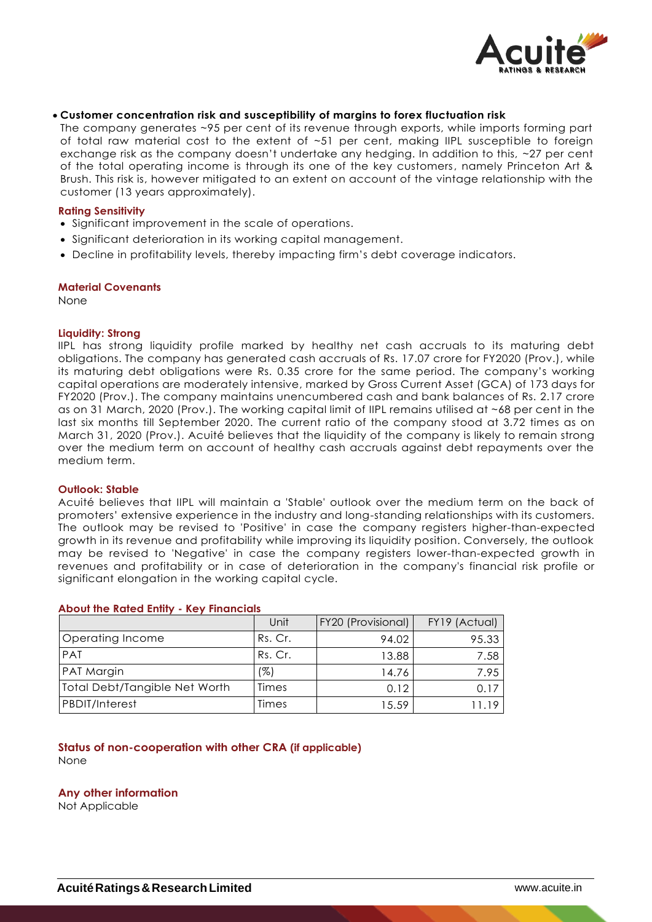

## **Customer concentration risk and susceptibility of margins to forex fluctuation risk**

The company generates ~95 per cent of its revenue through exports, while imports forming part of total raw material cost to the extent of ~51 per cent, making IIPL susceptible to foreign exchange risk as the company doesn't undertake any hedging. In addition to this, ~27 per cent of the total operating income is through its one of the key customers, namely Princeton Art & Brush. This risk is, however mitigated to an extent on account of the vintage relationship with the customer (13 years approximately).

## **Rating Sensitivity**

- Significant improvement in the scale of operations.
- Significant deterioration in its working capital management.
- Decline in profitability levels, thereby impacting firm's debt coverage indicators.

#### **Material Covenants**

None

#### **Liquidity: Strong**

IIPL has strong liquidity profile marked by healthy net cash accruals to its maturing debt obligations. The company has generated cash accruals of Rs. 17.07 crore for FY2020 (Prov.), while its maturing debt obligations were Rs. 0.35 crore for the same period. The company's working capital operations are moderately intensive, marked by Gross Current Asset (GCA) of 173 days for FY2020 (Prov.). The company maintains unencumbered cash and bank balances of Rs. 2.17 crore as on 31 March, 2020 (Prov.). The working capital limit of IIPL remains utilised at ~68 per cent in the last six months till September 2020. The current ratio of the company stood at 3.72 times as on March 31, 2020 (Prov.). Acuité believes that the liquidity of the company is likely to remain strong over the medium term on account of healthy cash accruals against debt repayments over the medium term.

#### **Outlook: Stable**

Acuité believes that IIPL will maintain a 'Stable' outlook over the medium term on the back of promoters' extensive experience in the industry and long-standing relationships with its customers. The outlook may be revised to 'Positive' in case the company registers higher-than-expected growth in its revenue and profitability while improving its liquidity position. Conversely, the outlook may be revised to 'Negative' in case the company registers lower-than-expected growth in revenues and profitability or in case of deterioration in the company's financial risk profile or significant elongation in the working capital cycle.

|                               | Unit    | <b>FY20 (Provisional)</b> | FY19 (Actual) |
|-------------------------------|---------|---------------------------|---------------|
| Operating Income              | Rs. Cr. | 94.02                     | 95.33         |
| <b>PAT</b>                    | Rs. Cr. | 13.88                     | 7.58          |
| <b>PAT Margin</b>             | (%)     | 14.76                     | 7.95          |
| Total Debt/Tangible Net Worth | Times   | 0.12                      | 0.17          |
| <b>PBDIT/Interest</b>         | Times   | 15.59                     | 1119          |

#### **About the Rated Entity - Key Financials**

# **Status of non-cooperation with other CRA (if applicable)**

None

#### **Any other information**

Not Applicable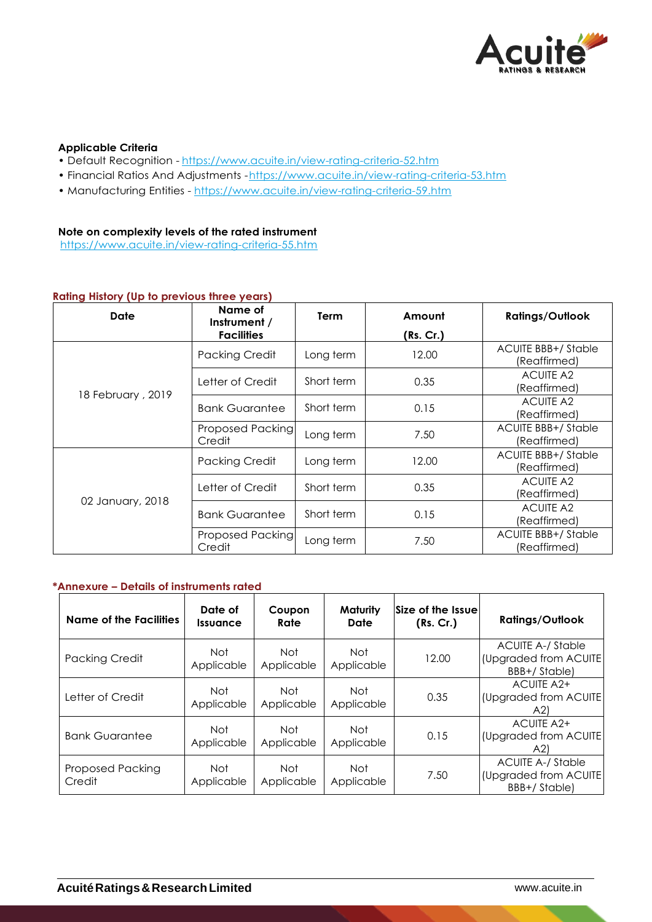

# **Applicable Criteria**

- Default Recognition https://www.acuite.in/view-rating-criteria-52.htm
- Financial Ratios And Adjustments -https://www.acuite.in/view-rating-criteria-53.htm
- Manufacturing Entities https://www.acuite.in/view-rating-criteria-59.htm

# **Note on complexity levels of the rated instrument**

https://www.acuite.in/view-rating-criteria-55.htm

# **Rating History (Up to previous three years)**

| Date              | Name of<br>Instrument /           | <b>Term</b> | Amount    | <b>Ratings/Outlook</b>                    |
|-------------------|-----------------------------------|-------------|-----------|-------------------------------------------|
|                   | <b>Facilities</b>                 |             | (Rs. Cr.) |                                           |
| 18 February, 2019 | <b>Packing Credit</b>             | Long term   | 12.00     | <b>ACUITE BBB+/Stable</b><br>(Reaffirmed) |
|                   | Letter of Credit                  | Short term  | 0.35      | <b>ACUITE A2</b><br>(Reaffirmed)          |
|                   | <b>Bank Guarantee</b>             | Short term  | 0.15      | <b>ACUITE A2</b><br>(Reaffirmed)          |
|                   | <b>Proposed Packing</b><br>Credit | Long term   | 7.50      | <b>ACUITE BBB+/Stable</b><br>(Reaffirmed) |
| 02 January, 2018  | <b>Packing Credit</b>             | Long term   | 12.00     | <b>ACUITE BBB+/Stable</b><br>(Reaffirmed) |
|                   | Letter of Credit                  | Short term  | 0.35      | <b>ACUITE A2</b><br>(Reaffirmed)          |
|                   | <b>Bank Guarantee</b>             | Short term  | 0.15      | <b>ACUITE A2</b><br>(Reaffirmed)          |
|                   | <b>Proposed Packing</b><br>Credit | Long term   | 7.50      | <b>ACUITE BBB+/Stable</b><br>(Reaffirmed) |

## **\*Annexure – Details of instruments rated**

| Name of the Facilities            | Date of<br><i><u><b>Issuance</b></u></i> | Coupon<br>Rate     | Maturity<br>Date         | Size of the Issue<br>(Rs. Cr.) | <b>Ratings/Outlook</b>                                            |
|-----------------------------------|------------------------------------------|--------------------|--------------------------|--------------------------------|-------------------------------------------------------------------|
| <b>Packing Credit</b>             | Not<br>Applicable                        | Not.<br>Applicable | Not<br>Applicable        | 12.00                          | <b>ACUITE A-/ Stable</b><br>(Upgraded from ACUITE<br>BBB+/Stable) |
| Letter of Credit                  | Not.<br>Applicable                       | Not<br>Applicable  | Not<br>Applicable        | 0.35                           | ACUITE A2+<br>(Upgraded from ACUITE<br>(A2)                       |
| <b>Bank Guarantee</b>             | Not<br>Applicable                        | Not.<br>Applicable | Not<br>Applicable        | 0.15                           | ACUITE A2+<br>(Upgraded from ACUITE<br>(A2)                       |
| <b>Proposed Packing</b><br>Credit | <b>Not</b><br>Applicable                 | Not<br>Applicable  | <b>Not</b><br>Applicable | 7.50                           | <b>ACUITE A-/ Stable</b><br>(Upgraded from ACUITE<br>BBB+/Stable) |